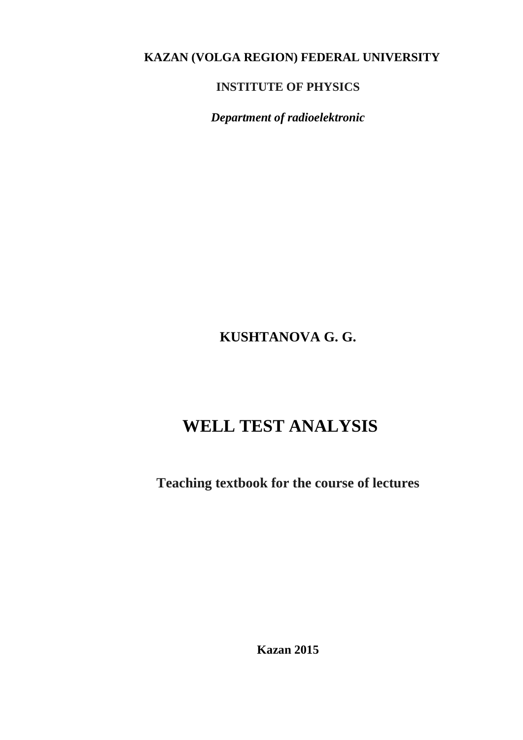## **KAZAN (VOLGA REGION) FEDERAL UNIVERSITY**

## **INSTITUTE OF PHYSICS**

*Department of radioelektronic*

## **KUSHTANOVA G. G.**

# **WELL TEST ANALYSIS**

**Teaching textbook for the course of lectures**

**Kazan 2015**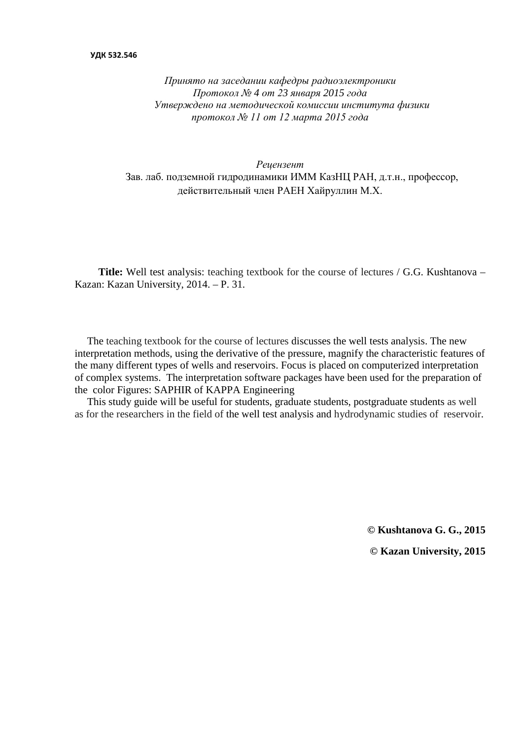#### **УДК 532.546**

*Принято на заседании кафедры радиоэлектроники Протокол № 4 от 23 января 2015 года Утверждено на методической комиссии института физики протокол № 11 от 12 марта 2015 года*

#### *Рецензент* Зав. лаб. подземной гидродинамики ИММ КазНЦ РАН, д.т.н., профессор, действительный член РАЕН Хайруллин М.Х.

**Title:** Well test analysis: teaching textbook for the course of lectures / G.G. Kushtanova – Kazan: Kazan University, 2014. – P. 31.

The teaching textbook for the course of lectures discusses the well tests analysis. The new interpretation methods, using the derivative of the pressure, magnify the characteristic features of the many different types of wells and reservoirs. Focus is placed on computerized interpretation of complex systems. The interpretation software packages have been used for the preparation of the color Figures: SAPHIR of KAPPA Engineering

This study guide will be useful for students, graduate students, postgraduate students as well as for the researchers in the field of the well test analysis and hydrodynamic studies of reservoir.

> **© Kushtanova G. G., 2015 © Kazan University, 2015**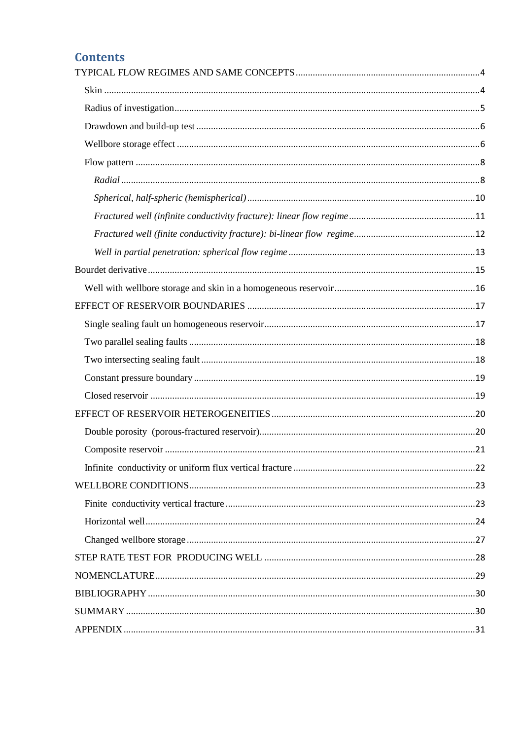## **Contents**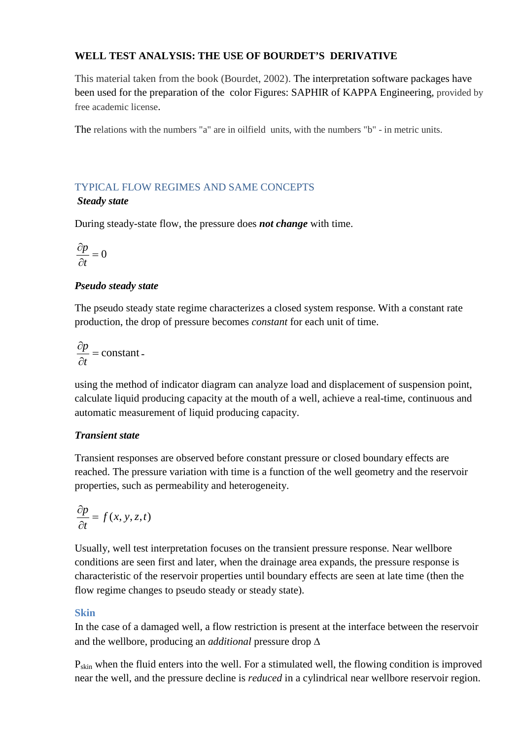## **WELL TEST ANALYSIS: THE USE OF BOURDET'S DERIVATIVE**

This material taken from the book (Bourdet, 2002). The interpretation software packages have been used for the preparation of the color Figures: SAPHIR of KAPPA Engineering, provided by free academic license.

The relations with the numbers "a" are in oilfield units, with the numbers "b" - in metric units.

## <span id="page-3-0"></span>TYPICAL FLOW REGIMES AND SAME CONCEPTS

## *Steady state*

During steady-state flow, the pressure does *not change* with time.

$$
\frac{\partial p}{\partial t} = 0
$$

## *Pseudo steady state*

The pseudo steady state regime characterizes a closed system response. With a constant rate production, the drop of pressure becomes *constant* for each unit of time.

$$
\frac{\partial p}{\partial t} = \text{constant}.
$$

using the method of indicator diagram can analyze load and displacement of suspension point, calculate liquid producing capacity at the mouth of a well, achieve a real-time, continuous and automatic measurement of liquid producing capacity.

## *Transient state*

Transient responses are observed before constant pressure or closed boundary effects are reached. The pressure variation with time is a function of the well geometry and the reservoir properties, such as permeability and heterogeneity.

$$
\frac{\partial p}{\partial t} = f(x, y, z, t)
$$

Usually, well test interpretation focuses on the transient pressure response. Near wellbore conditions are seen first and later, when the drainage area expands, the pressure response is characteristic of the reservoir properties until boundary effects are seen at late time (then the flow regime changes to pseudo steady or steady state).

## <span id="page-3-1"></span>**Skin**

In the case of a damaged well, a flow restriction is present at the interface between the reservoir and the wellbore, producing an *additional* pressure drop ∆

 $P_{skin}$  when the fluid enters into the well. For a stimulated well, the flowing condition is improved near the well, and the pressure decline is *reduced* in a cylindrical near wellbore reservoir region.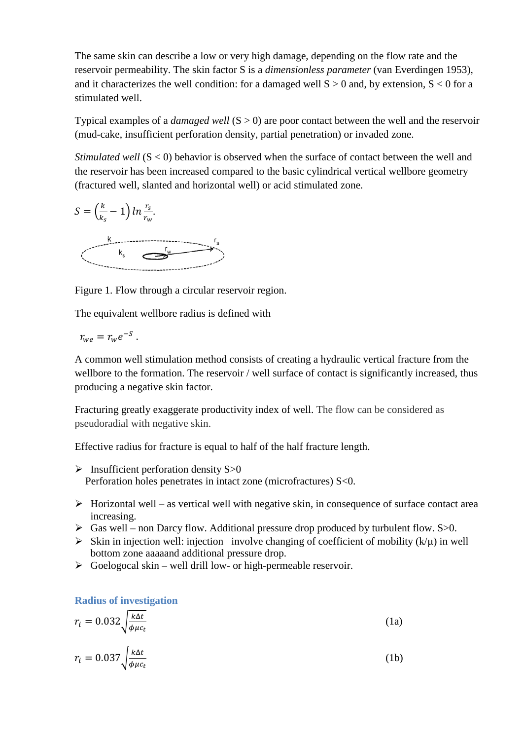The same skin can describe a low or very high damage, depending on the flow rate and the reservoir permeability. The skin factor S is a *dimensionless parameter* (van Everdingen 1953), and it characterizes the well condition: for a damaged well  $S > 0$  and, by extension,  $S < 0$  for a stimulated well.

Typical examples of a *damaged well* (S > 0) are poor contact between the well and the reservoir (mud-cake, insufficient perforation density, partial penetration) or invaded zone.

*Stimulated well* (S < 0) behavior is observed when the surface of contact between the well and the reservoir has been increased compared to the basic cylindrical vertical wellbore geometry (fractured well, slanted and horizontal well) or acid stimulated zone.



Figure 1. Flow through a circular reservoir region.

The equivalent wellbore radius is defined with

$$
r_{we}=r_{w}e^{-S}.
$$

A common well stimulation method consists of creating a hydraulic vertical fracture from the wellbore to the formation. The reservoir / well surface of contact is significantly increased, thus producing a negative skin factor.

Fracturing greatly exaggerate productivity index of well. The flow can be considered as pseudoradial with negative skin.

Effective radius for fracture is equal to half of the half fracture length.

- $\triangleright$  Insufficient perforation density S $>0$ Perforation holes penetrates in intact zone (microfractures) S<0.
- $\triangleright$  Horizontal well as vertical well with negative skin, in consequence of surface contact area increasing.
- $\triangleright$  Gas well non Darcy flow. Additional pressure drop produced by turbulent flow. S $>0$ .
- Skin in injection well: injection involve changing of coefficient of mobility  $(k/\mu)$  in well bottom zone aaaaand additional pressure drop.
- $\triangleright$  Goelogocal skin well drill low- or high-permeable reservoir.

<span id="page-4-0"></span>**Radius of investigation**

$$
r_i = 0.032 \sqrt{\frac{k \Delta t}{\phi \mu c_t}}
$$
 (1a)

$$
r_i = 0.037 \sqrt{\frac{k \Delta t}{\phi \mu c_t}}
$$
 (1b)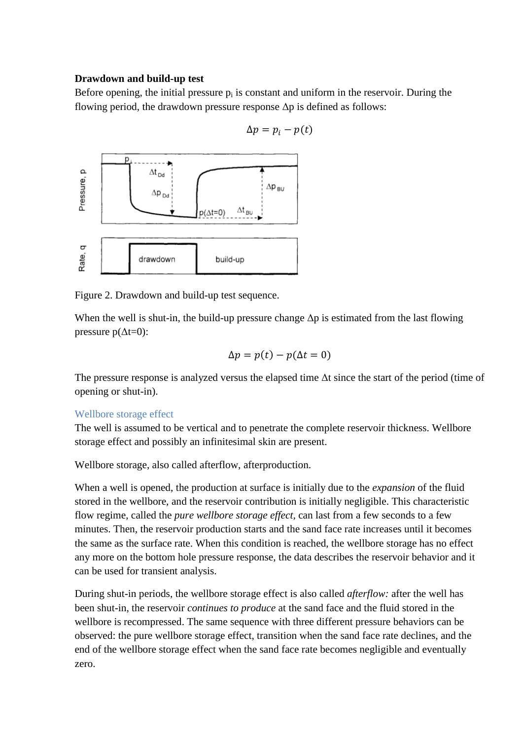#### <span id="page-5-0"></span>**Drawdown and build-up test**

Before opening, the initial pressure  $p_i$  is constant and uniform in the reservoir. During the flowing period, the drawdown pressure response  $\Delta p$  is defined as follows:



 $\Delta p = p_i - p(t)$ 

Figure 2. Drawdown and build-up test sequence.

When the well is shut-in, the build-up pressure change  $\Delta p$  is estimated from the last flowing pressure  $p(\Delta t=0)$ :

$$
\Delta p = p(t) - p(\Delta t = 0)
$$

The pressure response is analyzed versus the elapsed time  $\Delta t$  since the start of the period (time of opening or shut-in).

## <span id="page-5-1"></span>Wellbore storage effect

The well is assumed to be vertical and to penetrate the complete reservoir thickness. Wellbore storage effect and possibly an infinitesimal skin are present.

Wellbore storage, also called afterflow, afterproduction.

When a well is opened, the production at surface is initially due to the *expansion* of the fluid stored in the wellbore, and the reservoir contribution is initially negligible. This characteristic flow regime, called the *pure wellbore storage effect,* can last from a few seconds to a few minutes. Then, the reservoir production starts and the sand face rate increases until it becomes the same as the surface rate. When this condition is reached, the wellbore storage has no effect any more on the bottom hole pressure response, the data describes the reservoir behavior and it can be used for transient analysis.

During shut-in periods, the wellbore storage effect is also called *afterflow:* after the well has been shut-in, the reservoir *continues to produce* at the sand face and the fluid stored in the wellbore is recompressed. The same sequence with three different pressure behaviors can be observed: the pure wellbore storage effect, transition when the sand face rate declines, and the end of the wellbore storage effect when the sand face rate becomes negligible and eventually zero.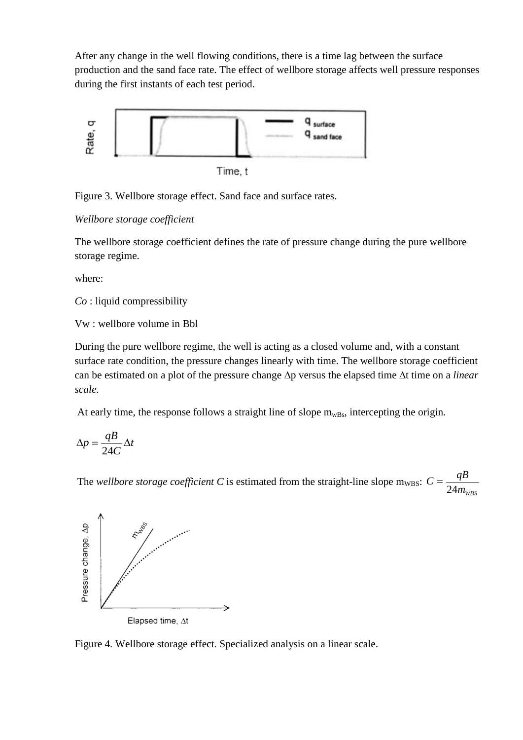After any change in the well flowing conditions, there is a time lag between the surface production and the sand face rate. The effect of wellbore storage affects well pressure responses during the first instants of each test period.



Figure 3. Wellbore storage effect. Sand face and surface rates.

*Wellbore storage coefficient*

The wellbore storage coefficient defines the rate of pressure change during the pure wellbore storage regime.

where:

*Co* : liquid compressibility

Vw : wellbore volume in Bbl

During the pure wellbore regime, the well is acting as a closed volume and, with a constant surface rate condition, the pressure changes linearly with time. The wellbore storage coefficient can be estimated on a plot of the pressure change ∆p versus the elapsed time ∆t time on a *linear scale*.

At early time, the response follows a straight line of slope  $m_{wBs}$ , intercepting the origin.

$$
\Delta p = \frac{qB}{24C} \Delta t
$$

The *wellbore storage coefficient*  $C$  is estimated from the straight-line slope  $m_{WBS}$ : *mWBS*  $C = \frac{qB}{24m_v}$ 



Figure 4. Wellbore storage effect. Specialized analysis on a linear scale.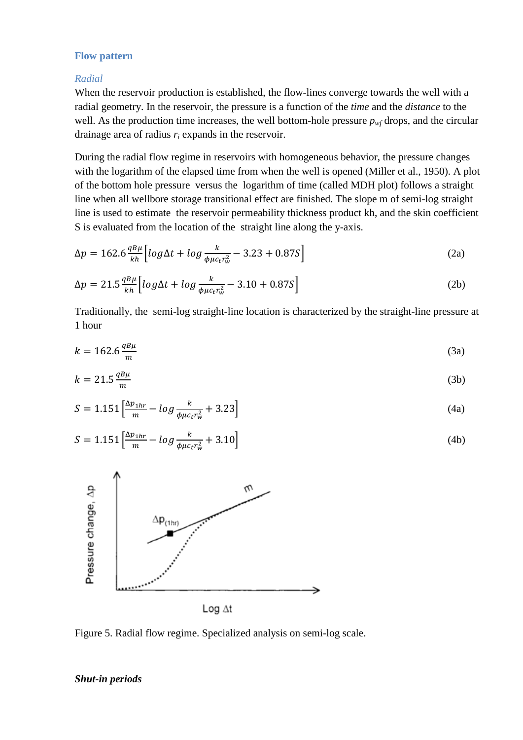#### <span id="page-7-0"></span>**Flow pattern**

#### <span id="page-7-1"></span>*Radial*

When the reservoir production is established, the flow-lines converge towards the well with a radial geometry. In the reservoir, the pressure is a function of the *time* and the *distance* to the well. As the production time increases, the well bottom-hole pressure  $p_{wf}$  drops, and the circular drainage area of radius *ri* expands in the reservoir.

During the radial flow regime in reservoirs with homogeneous behavior, the pressure changes with the logarithm of the elapsed time from when the well is opened (Miller et al., 1950). A plot of the bottom hole pressure versus the logarithm of time (called MDH plot) follows a straight line when all wellbore storage transitional effect are finished. The slope m of semi-log straight line is used to estimate the reservoir permeability thickness product kh, and the skin coefficient S is evaluated from the location of the straight line along the y-axis.

$$
\Delta p = 162.6 \frac{qB\mu}{kh} \left[ \log \Delta t + \log \frac{k}{\phi \mu c_t r_w^2} - 3.23 + 0.87 S \right]
$$
 (2a)

$$
\Delta p = 21.5 \frac{q B \mu}{kh} \Big[ log \Delta t + log \frac{k}{\phi \mu c_t r_w^2} - 3.10 + 0.87 S \Big]
$$
 (2b)

Traditionally, the semi-log straight-line location is characterized by the straight-line pressure at 1 hour

$$
k = 162.6 \frac{qB\mu}{m} \tag{3a}
$$

$$
k = 21.5 \frac{qB\mu}{m} \tag{3b}
$$

$$
S = 1.151 \left[ \frac{\Delta p_{1hr}}{m} - \log \frac{k}{\phi \mu c_t r_w^2} + 3.23 \right]
$$
 (4a)

$$
S = 1.151 \left[ \frac{\Delta p_{1hr}}{m} - \log \frac{k}{\phi \mu c_t r_w^2} + 3.10 \right]
$$
 (4b)



Figure 5. Radial flow regime. Specialized analysis on semi-log scale.

#### *Shut-in periods*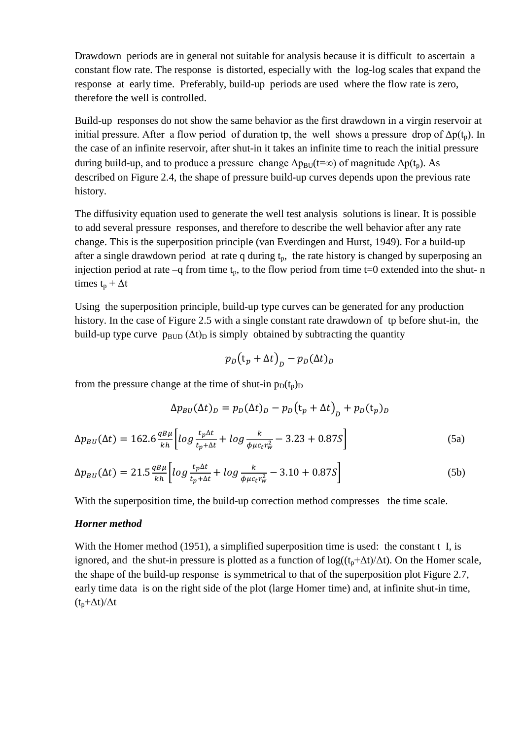Drawdown periods are in general not suitable for analysis because it is difficult to ascertain a constant flow rate. The response is distorted, especially with the log-log scales that expand the response at early time. Preferably, build-up periods are used where the flow rate is zero, therefore the well is controlled.

Build-up responses do not show the same behavior as the first drawdown in a virgin reservoir at initial pressure. After a flow period of duration tp, the well shows a pressure drop of  $\Delta p(t_n)$ . In the case of an infinite reservoir, after shut-in it takes an infinite time to reach the initial pressure during build-up, and to produce a pressure change  $\Delta p_{\text{BU}}(t=\infty)$  of magnitude  $\Delta p(t_n)$ . As described on Figure 2.4, the shape of pressure build-up curves depends upon the previous rate history.

The diffusivity equation used to generate the well test analysis solutions is linear. It is possible to add several pressure responses, and therefore to describe the well behavior after any rate change. This is the superposition principle (van Everdingen and Hurst, 1949). For a build-up after a single drawdown period at rate q during  $t_p$ , the rate history is changed by superposing an injection period at rate  $-q$  from time  $t_p$ , to the flow period from time t=0 extended into the shut- n times  $t_n + \Delta t$ 

Using the superposition principle, build-up type curves can be generated for any production history. In the case of Figure 2.5 with a single constant rate drawdown of tp before shut-in, the build-up type curve  $p_{\text{BUD}} (\Delta t)_{\text{D}}$  is simply obtained by subtracting the quantity

$$
p_D(t_p + \Delta t)_D - p_D(\Delta t)_D
$$

from the pressure change at the time of shut-in  $p_D(t_p)$ 

$$
\Delta p_{BU}(\Delta t)_D = p_D(\Delta t)_D - p_D(t_p + \Delta t)_D + p_D(t_p)_D
$$
  

$$
\Delta p_{BU}(\Delta t) = 162.6 \frac{q_{B\mu}}{kh} \left[ \log \frac{t_p \Delta t}{t_p + \Delta t} + \log \frac{k}{\phi \mu c_t r_w^2} - 3.23 + 0.87S \right]
$$
 (5a)

$$
\Delta p_{BU}(\Delta t) = 21.5 \frac{q_{B\mu}}{kh} \left[ \log \frac{t_p \Delta t}{t_p + \Delta t} + \log \frac{k}{\phi \mu c_t r_w^2} - 3.10 + 0.87 S \right]
$$
(5b)

With the superposition time, the build-up correction method compresses the time scale.

#### *Horner method*

With the Homer method (1951), a simplified superposition time is used: the constant t I, is ignored, and the shut-in pressure is plotted as a function of  $log((t_p + \Delta t)/\Delta t)$ . On the Homer scale, the shape of the build-up response is symmetrical to that of the superposition plot Figure 2.7, early time data is on the right side of the plot (large Homer time) and, at infinite shut-in time,  $(t_n+\Delta t)/\Delta t$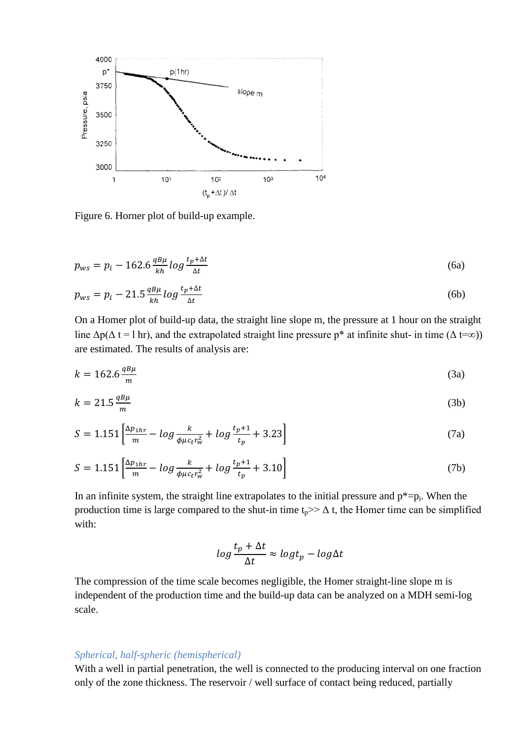

Figure 6. Horner plot of build-up example.

$$
p_{ws} = p_i - 162.6 \frac{q_{\text{B}\mu}}{kh} \log \frac{t_p + \Delta t}{\Delta t}
$$
 (6a)

$$
p_{ws} = p_i - 21.5 \frac{q_{\mu}}{kh} \log \frac{t_p + \Delta t}{\Delta t} \tag{6b}
$$

On a Homer plot of build-up data, the straight line slope m, the pressure at 1 hour on the straight line  $\Delta p(\Delta t = 1 \text{ hr})$ , and the extrapolated straight line pressure p<sup>\*</sup> at infinite shut- in time ( $\Delta t = \infty$ )) are estimated. The results of analysis are:

$$
k = 162.6 \frac{qB\mu}{m} \tag{3a}
$$

$$
k = 21.5 \frac{qB\mu}{m} \tag{3b}
$$

$$
S = 1.151 \left[ \frac{\Delta p_{1hr}}{m} - \log \frac{k}{\phi \mu c_t r_w^2} + \log \frac{t_p + 1}{t_p} + 3.23 \right]
$$
 (7a)

$$
S = 1.151 \left[ \frac{\Delta p_{1hr}}{m} - \log \frac{k}{\phi \mu c_t r_w^2} + \log \frac{t_p + 1}{t_p} + 3.10 \right]
$$
 (7b)

In an infinite system, the straight line extrapolates to the initial pressure and  $p^* = p_i$ . When the production time is large compared to the shut-in time  $t_p \geq \Delta t$ , the Homer time can be simplified with:

$$
log\frac{t_p + \Delta t}{\Delta t} \approx log t_p - log \Delta t
$$

The compression of the time scale becomes negligible, the Homer straight-line slope m is independent of the production time and the build-up data can be analyzed on a MDH semi-log scale.

#### <span id="page-9-0"></span>*Spherical, half-spheric (hemispherical)*

With a well in partial penetration, the well is connected to the producing interval on one fraction only of the zone thickness. The reservoir / well surface of contact being reduced, partially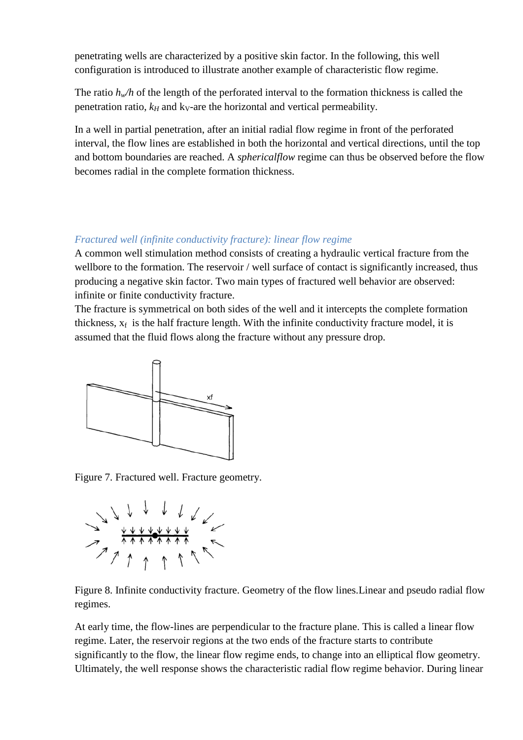penetrating wells are characterized by a positive skin factor. In the following, this well configuration is introduced to illustrate another example of characteristic flow regime.

The ratio  $h_w/h$  of the length of the perforated interval to the formation thickness is called the penetration ratio,  $k_H$  and  $k_V$ -are the horizontal and vertical permeability.

In a well in partial penetration, after an initial radial flow regime in front of the perforated interval, the flow lines are established in both the horizontal and vertical directions, until the top and bottom boundaries are reached. A *sphericalflow* regime can thus be observed before the flow becomes radial in the complete formation thickness.

## <span id="page-10-0"></span>*Fractured well (infinite conductivity fracture): linear flow regime*

A common well stimulation method consists of creating a hydraulic vertical fracture from the wellbore to the formation. The reservoir / well surface of contact is significantly increased, thus producing a negative skin factor. Two main types of fractured well behavior are observed: infinite or finite conductivity fracture.

The fracture is symmetrical on both sides of the well and it intercepts the complete formation thickness,  $x_f$  is the half fracture length. With the infinite conductivity fracture model, it is assumed that the fluid flows along the fracture without any pressure drop.



Figure 7. Fractured well. Fracture geometry.



Figure 8. Infinite conductivity fracture. Geometry of the flow lines.Linear and pseudo radial flow regimes.

At early time, the flow-lines are perpendicular to the fracture plane. This is called a linear flow regime. Later, the reservoir regions at the two ends of the fracture starts to contribute significantly to the flow, the linear flow regime ends, to change into an elliptical flow geometry. Ultimately, the well response shows the characteristic radial flow regime behavior. During linear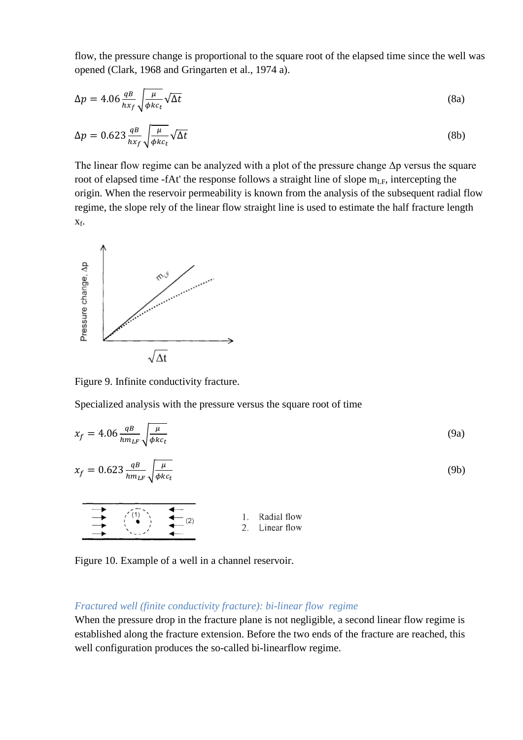flow, the pressure change is proportional to the square root of the elapsed time since the well was opened (Clark, 1968 and Gringarten et al., 1974 a).

$$
\Delta p = 4.06 \frac{q}{hx_f} \sqrt{\frac{\mu}{\phi k c_t}} \sqrt{\Delta t}
$$
\n(8a)

$$
\Delta p = 0.623 \frac{q}{hx_f} \sqrt{\frac{\mu}{\phi k c_t}} \sqrt{\Delta t}
$$
\n(8b)

The linear flow regime can be analyzed with a plot of the pressure change  $\Delta p$  versus the square root of elapsed time -fAt' the response follows a straight line of slope  $m_{LF}$ , intercepting the origin. When the reservoir permeability is known from the analysis of the subsequent radial flow regime, the slope rely of the linear flow straight line is used to estimate the half fracture length xf.



Figure 9. Infinite conductivity fracture.

Specialized analysis with the pressure versus the square root of time

$$
x_f = 4.06 \frac{q}{hm_{LF}} \sqrt{\frac{\mu}{\phi k c_t}}
$$
(9a)

$$
x_f = 0.623 \frac{q}{hm_{LF}} \sqrt{\frac{\mu}{\phi k c_t}}
$$
 (9b)

$$
\begin{array}{c}\n\downarrow \\
\hline\n\downarrow \\
\hline\n\downarrow\n\end{array}
$$
\n
$$
\begin{array}{c}\n\downarrow \\
\hline\n\downarrow \\
\hline\n\downarrow\n\end{array}
$$
\n
$$
\begin{array}{c}\n1. \text{ Radial flow} \\
2. \text{Linear flow}\n\end{array}
$$

Figure 10. Example of a well in a channel reservoir.

#### <span id="page-11-0"></span>*Fractured well (finite conductivity fracture): bi-linear flow regime*

When the pressure drop in the fracture plane is not negligible, a second linear flow regime is established along the fracture extension. Before the two ends of the fracture are reached, this well configuration produces the so-called bi-linearflow regime.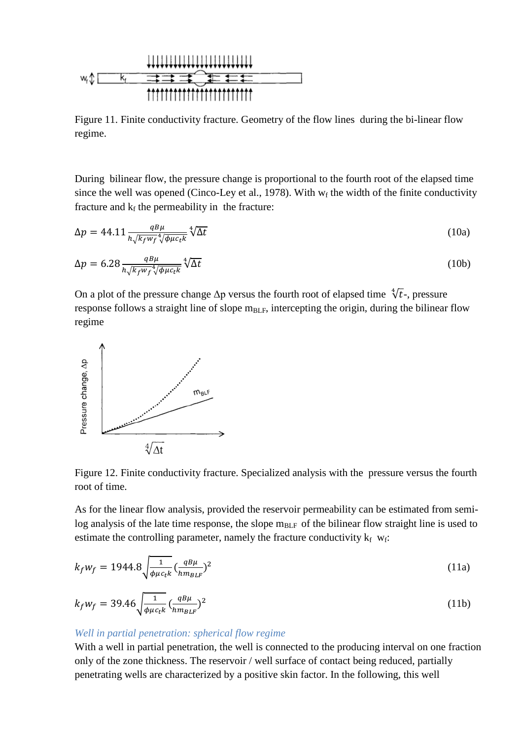

Figure 11. Finite conductivity fracture. Geometry of the flow lines during the bi-linear flow regime.

During bilinear flow, the pressure change is proportional to the fourth root of the elapsed time since the well was opened (Cinco-Ley et al., 1978). With  $w_f$  the width of the finite conductivity fracture and  $k_f$  the permeability in the fracture:

$$
\Delta p = 44.11 \frac{q B \mu}{h \sqrt{k_f w_f}^4 \sqrt{\phi \mu c_t k}} \sqrt[4]{\Delta t}
$$
\n(10a)

$$
\Delta p = 6.28 \frac{qB\mu}{h\sqrt{k_f w_f}^4 \sqrt{\phi \mu c_t k}} \sqrt[4]{\Delta t}
$$
\n(10b)

On a plot of the pressure change  $\Delta p$  versus the fourth root of elapsed time  $\sqrt[4]{t}$ -, pressure response follows a straight line of slope  $m_{BLF}$ , intercepting the origin, during the bilinear flow regime



Figure 12. Finite conductivity fracture. Specialized analysis with the pressure versus the fourth root of time.

As for the linear flow analysis, provided the reservoir permeability can be estimated from semilog analysis of the late time response, the slope  $m<sub>BLF</sub>$  of the bilinear flow straight line is used to estimate the controlling parameter, namely the fracture conductivity  $k_f w_f$ :

$$
k_f w_f = 1944.8 \sqrt{\frac{1}{\phi \mu c_t k}} \left(\frac{q B \mu}{h m_{BLF}}\right)^2
$$
 (11a)

$$
k_f w_f = 39.46 \sqrt{\frac{1}{\phi \mu c_t k}} \left(\frac{q B \mu}{h m_{BLF}}\right)^2
$$
 (11b)

## <span id="page-12-0"></span>*Well in partial penetration: spherical flow regime*

With a well in partial penetration, the well is connected to the producing interval on one fraction only of the zone thickness. The reservoir / well surface of contact being reduced, partially penetrating wells are characterized by a positive skin factor. In the following, this well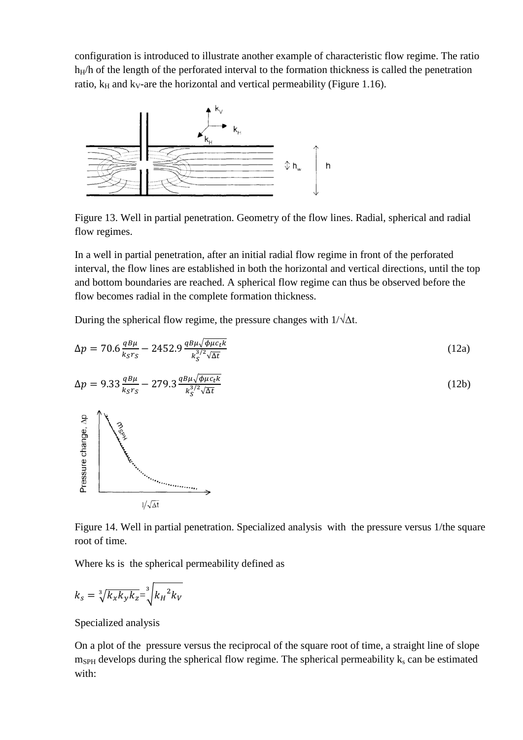configuration is introduced to illustrate another example of characteristic flow regime. The ratio  $h_H/h$  of the length of the perforated interval to the formation thickness is called the penetration ratio,  $k_H$  and  $k_V$ -are the horizontal and vertical permeability (Figure 1.16).



Figure 13. Well in partial penetration. Geometry of the flow lines. Radial, spherical and radial flow regimes.

In a well in partial penetration, after an initial radial flow regime in front of the perforated interval, the flow lines are established in both the horizontal and vertical directions, until the top and bottom boundaries are reached. A spherical flow regime can thus be observed before the flow becomes radial in the complete formation thickness.

During the spherical flow regime, the pressure changes with  $1/\sqrt{\Delta t}$ .

$$
\Delta p = 70.6 \frac{qB\mu}{k_S r_S} - 2452.9 \frac{qB\mu\sqrt{\phi\mu c_t k}}{k_S^{3/2}\sqrt{\Delta t}}
$$
 (12a)

$$
\Delta p = 9.33 \frac{qB\mu}{k_S r_S} - 279.3 \frac{qB\mu\sqrt{\phi\mu c_t k}}{k_S^{3/2}\sqrt{\Delta t}}
$$
\n
$$
\tag{12b}
$$



Figure 14. Well in partial penetration. Specialized analysis with the pressure versus 1/the square root of time.

Where ks is the spherical permeability defined as

$$
k_s = \sqrt[3]{k_x k_y k_z} = \sqrt[3]{k_H^2 k_V}
$$

Specialized analysis

On a plot of the pressure versus the reciprocal of the square root of time, a straight line of slope  $m<sub>SPH</sub>$  develops during the spherical flow regime. The spherical permeability  $k<sub>s</sub>$  can be estimated with: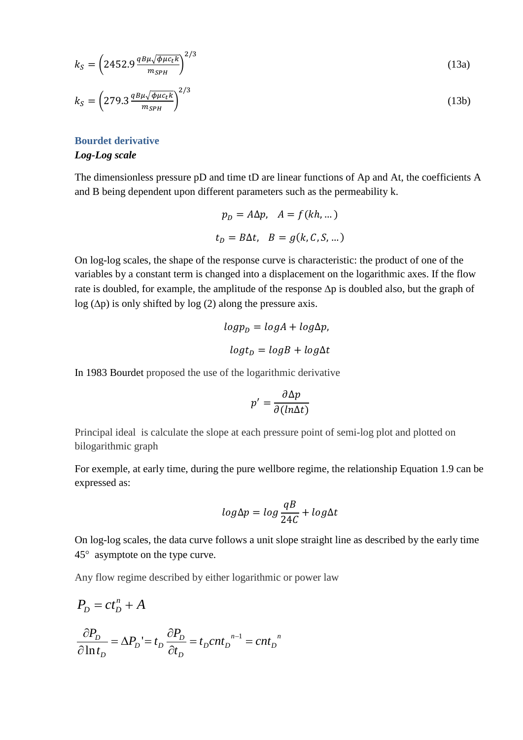$$
k_S = \left(2452.9 \frac{q B \mu \sqrt{\phi \mu c_t k}}{m_{SPH}}\right)^{2/3} \tag{13a}
$$

$$
k_S = \left(279.3 \frac{q B \mu \sqrt{\phi \mu c_t k}}{m_{SPH}}\right)^{2/3} \tag{13b}
$$

<span id="page-14-0"></span>**Bourdet derivative**  *Log-Log scale*

The dimensionless pressure pD and time tD are linear functions of Ap and At, the coefficients A and B being dependent upon different parameters such as the permeability k.

$$
p_D = A\Delta p, \quad A = f(kh, ...)
$$

$$
t_D = B\Delta t, \quad B = g(k, C, S, ...)
$$

On log-log scales, the shape of the response curve is characteristic: the product of one of the variables by a constant term is changed into a displacement on the logarithmic axes. If the flow rate is doubled, for example, the amplitude of the response ∆p is doubled also, but the graph of log (∆p) is only shifted by log (2) along the pressure axis.

$$
log pD = log A + log \Delta p,
$$

$$
log tD = log B + log \Delta t
$$

In 1983 Bourdet proposed the use of the logarithmic derivative

$$
p' = \frac{\partial \Delta p}{\partial (ln \Delta t)}
$$

Principal ideal is calculate the slope at each pressure point of semi-log plot and plotted on bilogarithmic graph

For exemple, at early time, during the pure wellbore regime, the relationship Equation 1.9 can be expressed as:

$$
log \Delta p = log \frac{qB}{24C} + log \Delta t
$$

On log-log scales, the data curve follows a unit slope straight line as described by the early time 45° asymptote on the type curve.

Any flow regime described by either logarithmic or power law

$$
P_D = ct_D^n + A
$$
  
\n
$$
\frac{\partial P_D}{\partial \ln t_D} = \Delta P_D = t_D \frac{\partial P_D}{\partial t_D} = t_D c n t_D^{n-1} = c n t_D^{n}
$$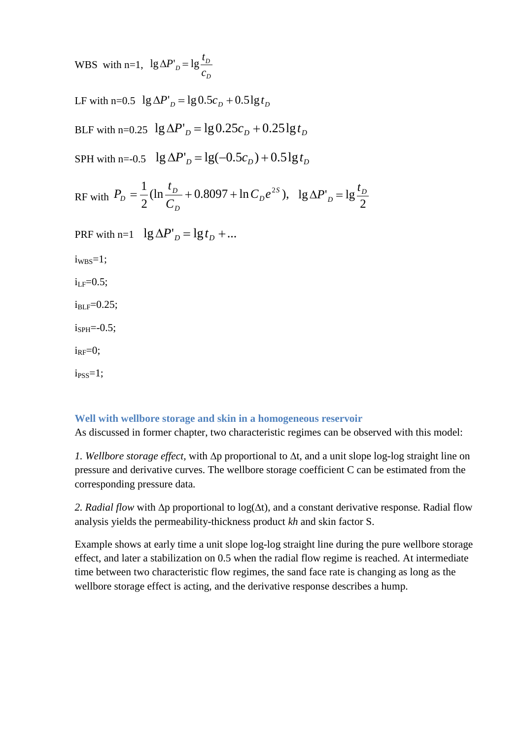WBS with n=1, *D*  $D_D = \lg \frac{P_D}{C_D}$  $lg \Delta P'_p = lg \frac{t}{q}$ 

LF with n=0.5  $\lg \Delta P'_p = \lg 0.5c_p + 0.5\lg t_p$ 

BLF with n=0.25  $\lg \Delta P'_p = \lg 0.25c_p + 0.25\lg t_p$ 

SPH with n=-0.5  $\lg \Delta P'_D = \lg(-0.5c_D) + 0.5\lg t_D$ 

$$
RF
$$
 with  $P_D = \frac{1}{2} (\ln \frac{t_D}{C_D} + 0.8097 + \ln C_D e^{2S})$ ,  $\lg \Delta P'_D = \lg \frac{t_D}{2}$ 

PRF with n=1  $\lg \Delta P'_p = \lg t_p + ...$ 

 $iw_{BS}=1;$ 

 $i_{\text{LF}}=0.5$ ;

 $i_{BLF}=0.25$ ;

 $i<sub>SPH</sub>=-0.5$ ;

 $i_{RF}=0;$ 

 $i<sub>PSS</sub>=1$ ;

#### <span id="page-15-0"></span>**Well with wellbore storage and skin in a homogeneous reservoir**

As discussed in former chapter, two characteristic regimes can be observed with this model:

*1. Wellbore storage effect,* with ∆p proportional to ∆t, and a unit slope log-log straight line on pressure and derivative curves. The wellbore storage coefficient C can be estimated from the corresponding pressure data.

*2. Radial flow* with ∆p proportional to log(∆t), and a constant derivative response. Radial flow analysis yields the permeability-thickness product *kh* and skin factor S.

Example shows at early time a unit slope log-log straight line during the pure wellbore storage effect, and later a stabilization on 0.5 when the radial flow regime is reached. At intermediate time between two characteristic flow regimes, the sand face rate is changing as long as the wellbore storage effect is acting, and the derivative response describes a hump.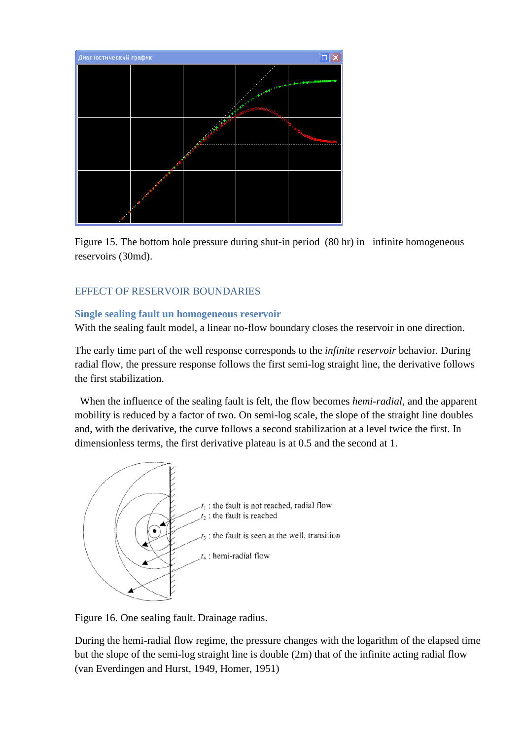

Figure 15. The bottom hole pressure during shut-in period (80 hr) in infinite homogeneous reservoirs (30md).

## <span id="page-16-0"></span>EFFECT OF RESERVOIR BOUNDARIES

#### <span id="page-16-1"></span>**Single sealing fault un homogeneous reservoir**

With the sealing fault model, a linear no-flow boundary closes the reservoir in one direction.

The early time part of the well response corresponds to the *infinite reservoir* behavior. During radial flow, the pressure response follows the first semi-log straight line, the derivative follows the first stabilization.

 When the influence of the sealing fault is felt, the flow becomes *hemi-radial,* and the apparent mobility is reduced by a factor of two. On semi-log scale, the slope of the straight line doubles and, with the derivative, the curve follows a second stabilization at a level twice the first. In dimensionless terms, the first derivative plateau is at 0.5 and the second at 1.



Figure 16. One sealing fault. Drainage radius.

During the hemi-radial flow regime, the pressure changes with the logarithm of the elapsed time but the slope of the semi-log straight line is double (2m) that of the infinite acting radial flow (van Everdingen and Hurst, 1949, Homer, 1951)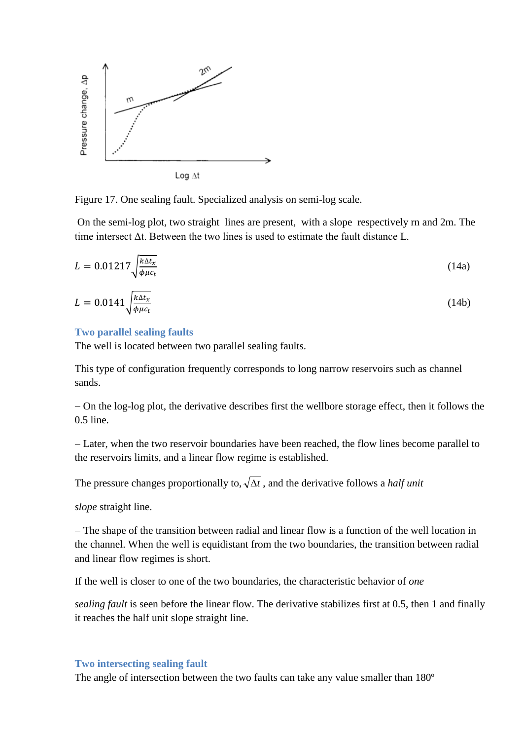

Figure 17. One sealing fault. Specialized analysis on semi-log scale.

On the semi-log plot, two straight lines are present, with a slope respectively rn and 2m. The time intersect Δt. Between the two lines is used to estimate the fault distance L.

$$
L = 0.01217 \sqrt{\frac{k \Delta t_x}{\phi \mu c_t}}
$$
 (14a)

$$
L = 0.0141 \sqrt{\frac{k \Delta t_x}{\phi \mu c_t}}
$$
 (14b)

#### <span id="page-17-0"></span>**Two parallel sealing faults**

The well is located between two parallel sealing faults.

Тhis type of configuration frequently corresponds to long narrow reservoirs such as channel sands.

− On the log-log plot, the derivative describes first the wellbore storage effect, then it follows the 0.5 line.

− Later, when the two reservoir boundaries have been reached, the flow lines become parallel to the reservoirs limits, and a linear flow regime is established.

The pressure changes proportionally to,  $\sqrt{\Delta t}$ , and the derivative follows a *half unit* 

*slope* straight line.

− The shape of the transition between radial and linear flow is a function of the well location in the channel. When the well is equidistant from the two boundaries, the transition between radial and linear flow regimes is short.

If the well is closer to one of the two boundaries, the characteristic behavior of *one*

*sealing fault* is seen before the linear flow. The derivative stabilizes first at 0.5, then 1 and finally it reaches the half unit slope straight line.

#### <span id="page-17-1"></span>**Two intersecting sealing fault**

The angle of intersection between the two faults can take any value smaller than 180º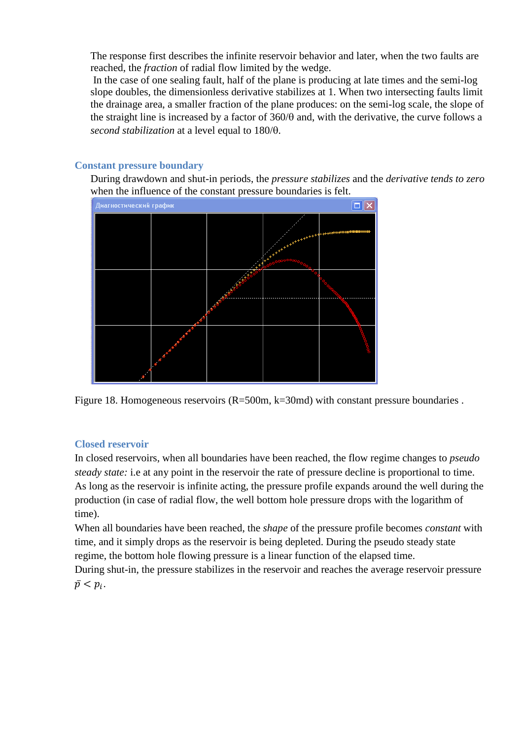The response first describes the infinite reservoir behavior and later, when the two faults are reached, the *fraction* of radial flow limited by the wedge.

In the case of one sealing fault, half of the plane is producing at late times and the semi-log slope doubles, the dimensionless derivative stabilizes at 1. When two intersecting faults limit the drainage area, a smaller fraction of the plane produces: on the semi-log scale, the slope of the straight line is increased by a factor of 360/θ and, with the derivative, the curve follows a *second stabilization* at a level equal to 180/θ.

## <span id="page-18-0"></span>**Constant pressure boundary**

During drawdown and shut-in periods, the *pressure stabilizes* and the *derivative tends to zero*  when the influence of the constant pressure boundaries is felt.



Figure 18. Homogeneous reservoirs (R=500m, k=30md) with constant pressure boundaries.

## <span id="page-18-1"></span>**Closed reservoir**

In closed reservoirs, when all boundaries have been reached, the flow regime changes to *pseudo steady state:* i.e at any point in the reservoir the rate of pressure decline is proportional to time. As long as the reservoir is infinite acting, the pressure profile expands around the well during the production (in case of radial flow, the well bottom hole pressure drops with the logarithm of time).

When all boundaries have been reached, the *shape* of the pressure profile becomes *constant* with time, and it simply drops as the reservoir is being depleted. During the pseudo steady state regime, the bottom hole flowing pressure is a linear function of the elapsed time.

During shut-in, the pressure stabilizes in the reservoir and reaches the average reservoir pressure  $\bar{p}$  <  $p_i$ .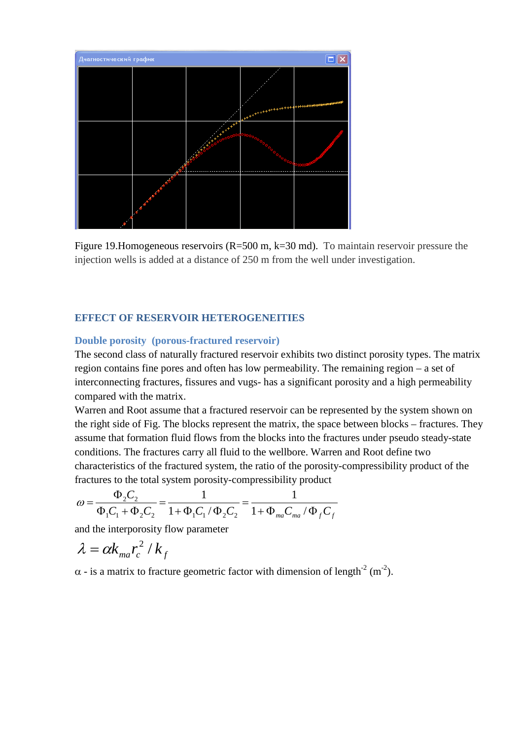

Figure 19. Homogeneous reservoirs (R=500 m, k=30 md). To maintain reservoir pressure the injection wells is added at a distance of 250 m from the well under investigation.

#### <span id="page-19-0"></span>**EFFECT OF RESERVOIR HETEROGENEITIES**

#### <span id="page-19-1"></span>**Double porosity (porous-fractured reservoir)**

The second class of naturally fractured reservoir exhibits two distinct porosity types. The matrix region contains fine pores and often has low permeability. The remaining region – a set of interconnecting fractures, fissures and vugs- has a significant porosity and a high permeability compared with the matrix.

Warren and Root assume that a fractured reservoir can be represented by the system shown on the right side of Fig. The blocks represent the matrix, the space between blocks – fractures. They assume that formation fluid flows from the blocks into the fractures under pseudo steady-state conditions. The fractures carry all fluid to the wellbore. Warren and Root define two characteristics of the fractured system, the ratio of the porosity-compressibility product of the fractures to the total system porosity-compressibility product

$$
\omega = \frac{\Phi_2 C_2}{\Phi_1 C_1 + \Phi_2 C_2} = \frac{1}{1 + \Phi_1 C_1 / \Phi_2 C_2} = \frac{1}{1 + \Phi_{ma} C_{ma} / \Phi_f C_f}
$$

and the interporosity flow parameter

$$
\lambda = \alpha k_{ma} r_c^2 / k_f
$$

 $\alpha$  - is a matrix to fracture geometric factor with dimension of length<sup>-2</sup> (m<sup>-2</sup>).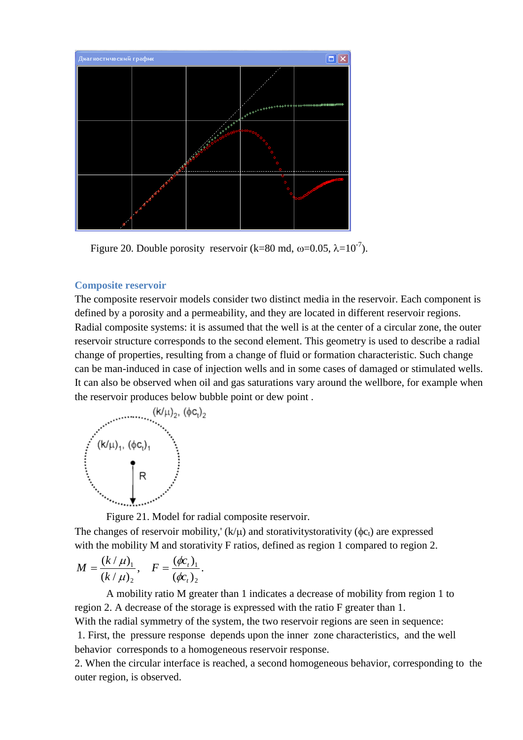

Figure 20. Double porosity reservoir (k=80 md,  $\omega$ =0.05,  $\lambda$ =10<sup>-7</sup>).

#### <span id="page-20-0"></span>**Composite reservoir**

The composite reservoir models consider two distinct media in the reservoir. Each component is defined by a porosity and a permeability, and they are located in different reservoir regions. Radial composite systems: it is assumed that the well is at the center of a circular zone, the outer reservoir structure corresponds to the second element. This geometry is used to describe a radial change of properties, resulting from a change of fluid or formation characteristic. Such change can be man-induced in case of injection wells and in some cases of damaged or stimulated wells. It can also be observed when oil and gas saturations vary around the wellbore, for example when the reservoir produces below bubble point or dew point .



Figure 21. Model for radial composite reservoir.

The changes of reservoir mobility,'  $(k/\mu)$  and storativitystorativity ( $\phi c_t$ ) are expressed with the mobility M and storativity F ratios, defined as region 1 compared to region 2.

$$
M = \frac{(k/\mu)_1}{(k/\mu)_2}, \quad F = \frac{(\phi c_t)_1}{(\phi c_t)_2}.
$$

A mobility ratio M greater than 1 indicates a decrease of mobility from region 1 to region 2. A decrease of the storage is expressed with the ratio F greater than 1.

With the radial symmetry of the system, the two reservoir regions are seen in sequence:

1. First, the pressure response depends upon the inner zone characteristics, and the well behavior corresponds to a homogeneous reservoir response.

2. When the circular interface is reached, a second homogeneous behavior, corresponding to the outer region, is observed.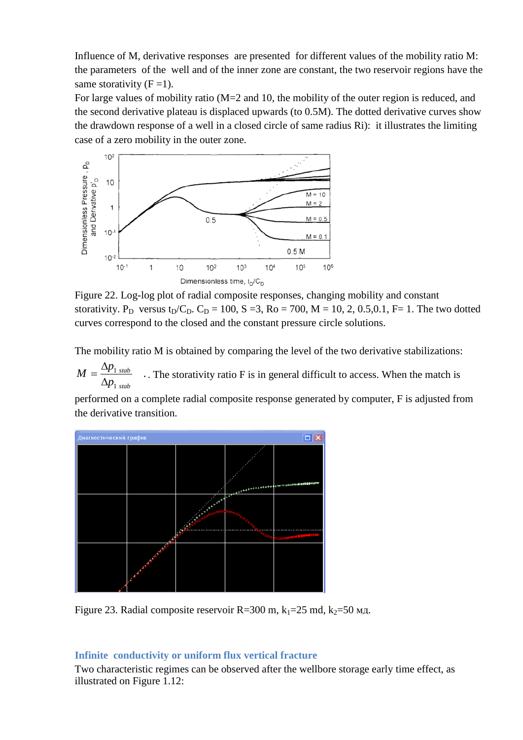Influence of M, derivative responses are presented for different values of the mobility ratio M: the parameters of the well and of the inner zone are constant, the two reservoir regions have the same storativity  $(F = 1)$ .

For large values of mobility ratio (M=2 and 10, the mobility of the outer region is reduced, and the second derivative plateau is displaced upwards (to 0.5M). The dotted derivative curves show the drawdown response of a well in a closed circle of same radius Ri): it illustrates the limiting case of a zero mobility in the outer zone.



Figure 22. Log-log plot of radial composite responses, changing mobility and constant storativity. P<sub>D</sub> versus t<sub>D</sub>/C<sub>D</sub>. C<sub>D</sub> = 100, S = 3, Ro = 700, M = 10, 2, 0.5,0.1, F= 1. The two dotted curves correspond to the closed and the constant pressure circle solutions.

The mobility ratio M is obtained by comparing the level of the two derivative stabilizations:

. 1 1 *stab stab p*  $M = \frac{\Delta p}{\Delta}$ ∆  $=\frac{\Delta p_{1 \text{ stab}}}{\Delta p_{1 \text{ stab}}}\$ . The storativity ratio F is in general difficult to access. When the match is

performed on a complete radial composite response generated by computer, F is adjusted from the derivative transition.



Figure 23. Radial composite reservoir R=300 m,  $k_1$ =25 md,  $k_2$ =50  $m<sub>4</sub>$ .

## <span id="page-21-0"></span>**Infinite conductivity or uniform flux vertical fracture**

Two characteristic regimes can be observed after the wellbore storage early time effect, as illustrated on Figure 1.12: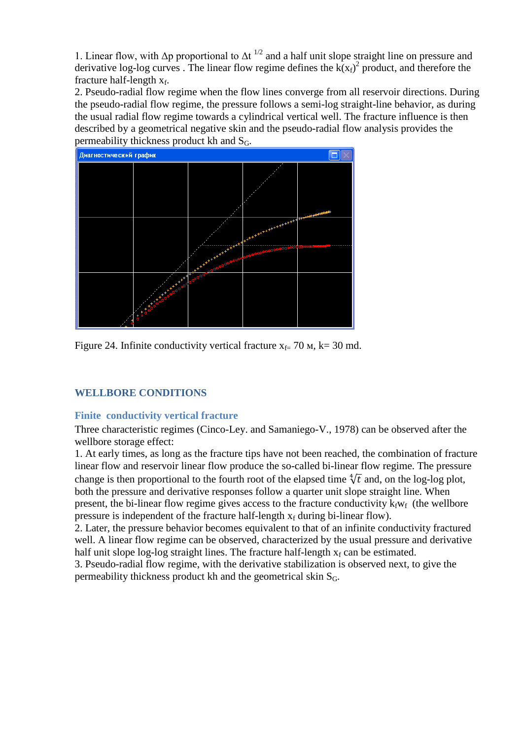1. Linear flow, with  $\Delta p$  proportional to  $\Delta t^{1/2}$  and a half unit slope straight line on pressure and derivative log-log curves . The linear flow regime defines the  $k(x_f)^2$  product, and therefore the fracture half-length  $x_f$ .

2. Pseudo-radial flow regime when the flow lines converge from all reservoir directions. During the pseudo-radial flow regime, the pressure follows a semi-log straight-line behavior, as during the usual radial flow regime towards a cylindrical vertical well. The fracture influence is then described by a geometrical negative skin and the pseudo-radial flow analysis provides the permeability thickness product kh and  $S_G$ .



Figure 24. Infinite conductivity vertical fracture  $x_f = 70$  M, k= 30 md.

## <span id="page-22-0"></span>**WELLBORE CONDITIONS**

## <span id="page-22-1"></span>**Finite conductivity vertical fracture**

Three characteristic regimes (Cinco-Ley. and Samaniego-V., 1978) can be observed after the wellbore storage effect:

1. At early times, as long as the fracture tips have not been reached, the combination of fracture linear flow and reservoir linear flow produce the so-called bi-linear flow regime. The pressure change is then proportional to the fourth root of the elapsed time  $\sqrt[4]{t}$  and, on the log-log plot, both the pressure and derivative responses follow a quarter unit slope straight line. When present, the bi-linear flow regime gives access to the fracture conductivity  $k_fw_f$  (the wellbore pressure is independent of the fracture half-length  $x_f$  during bi-linear flow).

2. Later, the pressure behavior becomes equivalent to that of an infinite conductivity fractured well. A linear flow regime can be observed, characterized by the usual pressure and derivative half unit slope log-log straight lines. The fracture half-length  $x_f$  can be estimated.

3. Pseudo-radial flow regime, with the derivative stabilization is observed next, to give the permeability thickness product kh and the geometrical skin  $S_G$ .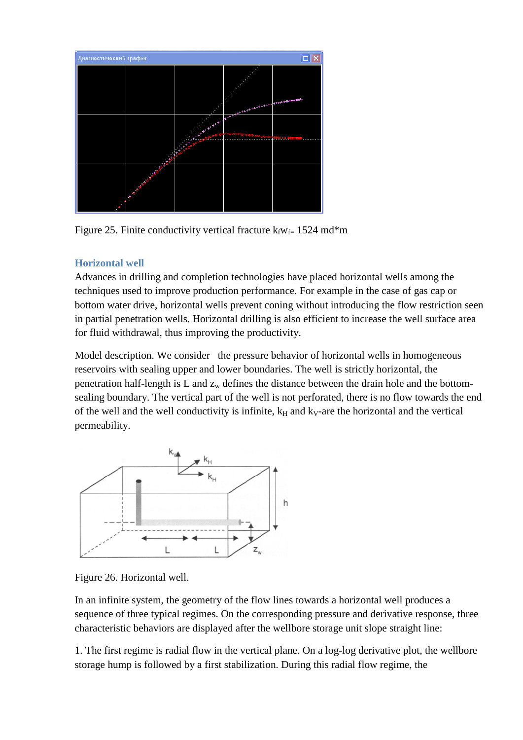

Figure 25. Finite conductivity vertical fracture  $k_fw_f = 1524$  md\*m

## <span id="page-23-0"></span>**Horizontal well**

Advances in drilling and completion technologies have placed horizontal wells among the techniques used to improve production performance. For example in the case of gas cap or bottom water drive, horizontal wells prevent coning without introducing the flow restriction seen in partial penetration wells. Horizontal drilling is also efficient to increase the well surface area for fluid withdrawal, thus improving the productivity.

Model description. We consider the pressure behavior of horizontal wells in homogeneous reservoirs with sealing upper and lower boundaries. The well is strictly horizontal, the penetration half-length is L and  $z_w$  defines the distance between the drain hole and the bottomsealing boundary. The vertical part of the well is not perforated, there is no flow towards the end of the well and the well conductivity is infinite,  $k<sub>H</sub>$  and  $k<sub>V</sub>$ -are the horizontal and the vertical permeability.



Figure 26. Horizontal well.

In an infinite system, the geometry of the flow lines towards a horizontal well produces a sequence of three typical regimes. On the corresponding pressure and derivative response, three characteristic behaviors are displayed after the wellbore storage unit slope straight line:

1. The first regime is radial flow in the vertical plane. On a log-log derivative plot, the wellbore storage hump is followed by a first stabilization. During this radial flow regime, the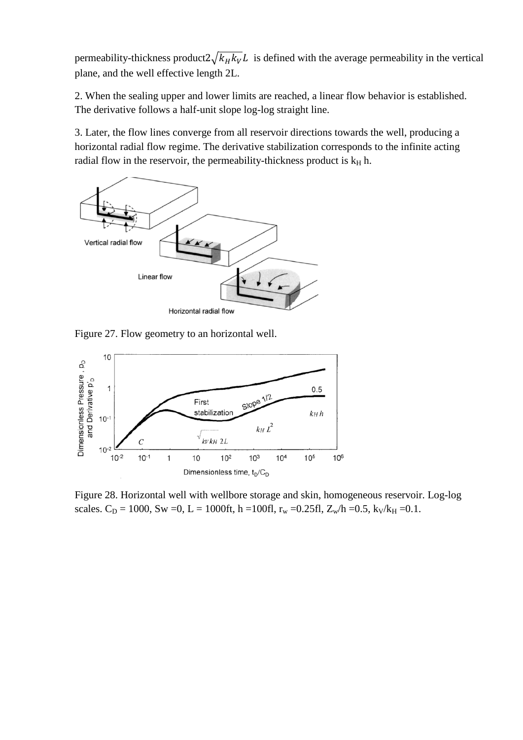permeability-thickness product $2\sqrt{k_H k_V}L$  is defined with the average permeability in the vertical plane, and the well effective length 2L.

2. When the sealing upper and lower limits are reached, a linear flow behavior is established. The derivative follows a half-unit slope log-log straight line.

3. Later, the flow lines converge from all reservoir directions towards the well, producing a horizontal radial flow regime. The derivative stabilization corresponds to the infinite acting radial flow in the reservoir, the permeability-thickness product is  $k_H$  h.



Figure 27. Flow geometry to an horizontal well.



Figure 28. Horizontal well with wellbore storage and skin, homogeneous reservoir. Log-log scales.  $C_D = 1000$ , Sw =0, L = 1000ft, h =100fl, r<sub>w</sub> =0.25fl, Z<sub>w</sub>/h =0.5, k<sub>V</sub>/k<sub>H</sub> =0.1.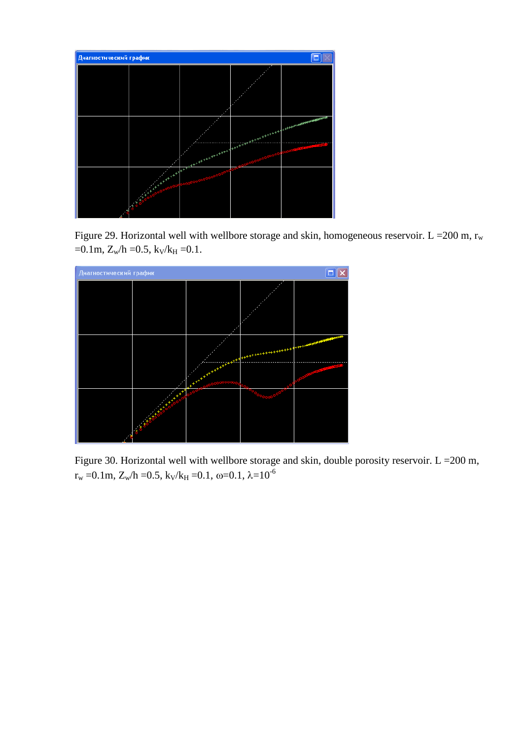

Figure 29. Horizontal well with wellbore storage and skin, homogeneous reservoir. L = 200 m,  $r_w$  $=0.1m$ ,  $Z_w/h = 0.5$ ,  $k_V/k_H = 0.1$ .



Figure 30. Horizontal well with wellbore storage and skin, double porosity reservoir.  $L = 200$  m,  $r_w = 0.1$ m,  $Z_w/h = 0.5$ ,  $k_V/k_H = 0.1$ ,  $\omega = 0.1$ ,  $\lambda = 10^{-6}$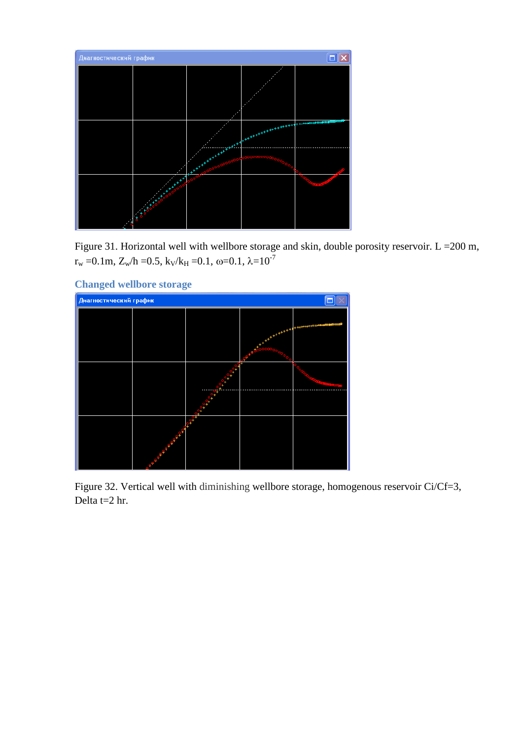

Figure 31. Horizontal well with wellbore storage and skin, double porosity reservoir.  $L = 200$  m,  $r_w = 0.1$ m,  $Z_w/h = 0.5$ ,  $k_V/k_H = 0.1$ ,  $\omega = 0.1$ ,  $\lambda = 10^{-7}$ 

<span id="page-26-0"></span>

Figure 32. Vertical well with diminishing wellbore storage, homogenous reservoir Ci/Cf=3, Delta t=2 hr.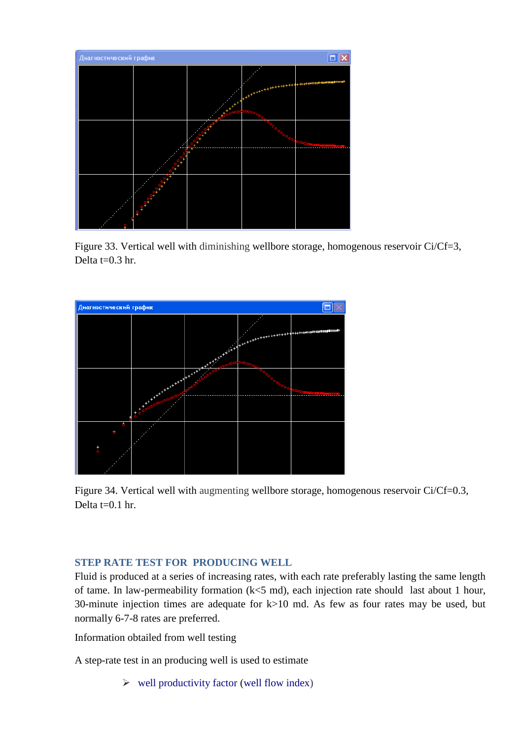

Figure 33. Vertical well with diminishing wellbore storage, homogenous reservoir Ci/Cf=3, Delta t=0.3 hr.



Figure 34. Vertical well with augmenting wellbore storage, homogenous reservoir Ci/Cf=0.3, Delta  $t=0.1$  hr.

## <span id="page-27-0"></span>**STEP RATE TEST FOR PRODUCING WELL**

Fluid is produced at a series of increasing rates, with each rate preferably lasting the same length of tame. In law-permeability formation (k<5 md), each injection rate should last about 1 hour, 30-minute injection times are adequate for k>10 md. As few as four rates may be used, but normally 6-7-8 rates are preferred.

Information obtailed from well testing

A step-rate test in an producing well is used to estimate

 $\triangleright$  well productivity factor (well flow index)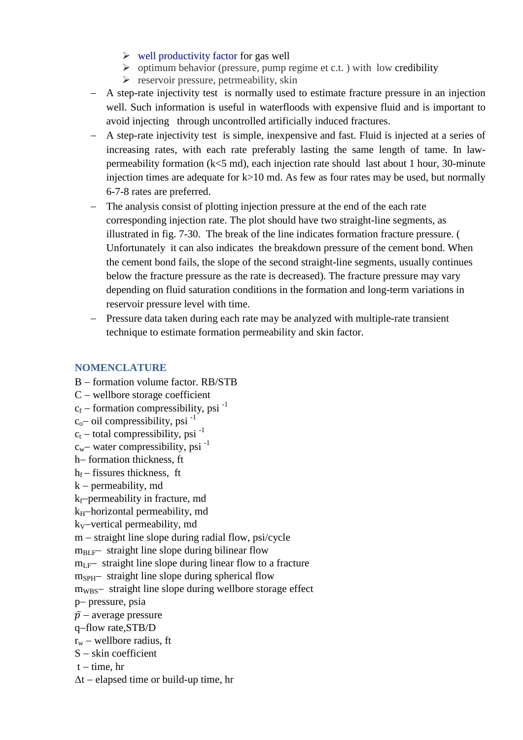- $\triangleright$  well productivity factor for gas well
- $\triangleright$  optimum behavior (pressure, pump regime et c.t.) with low credibility
- $\triangleright$  reservoir pressure, petrmeability, skin
- − A step-rate injectivity test is normally used to estimate fracture pressure in an injection well. Such information is useful in waterfloods with expensive fluid and is important to avoid injecting through uncontrolled artificially induced fractures.
- − A step-rate injectivity test is simple, inexpensive and fast. Fluid is injected at a series of increasing rates, with each rate preferably lasting the same length of tame. In lawpermeability formation (k<5 md), each injection rate should last about 1 hour, 30-minute injection times are adequate for  $k > 10$  md. As few as four rates may be used, but normally 6-7-8 rates are preferred.
- The analysis consist of plotting injection pressure at the end of the each rate corresponding injection rate. The plot should have two straight-line segments, as illustrated in fig. 7-30. The break of the line indicates formation fracture pressure. ( Unfortunately it can also indicates the breakdown pressure of the cement bond. When the cement bond fails, the slope of the second straight-line segments, usually continues below the fracture pressure as the rate is decreased). The fracture pressure may vary depending on fluid saturation conditions in the formation and long-term variations in reservoir pressure level with time.
- − Pressure data taken during each rate may be analyzed with multiple-rate transient technique to estimate formation permeability and skin factor.

## <span id="page-28-0"></span>**NOMENCLATURE**

- B formation volume factor. RB/STB
- C − wellbore storage coefficient
- $c_f$  formation compressibility, psi<sup>-1</sup>
- $c_0$  oil compressibility, psi<sup>-1</sup>
- $c_t$  total compressibility, psi<sup>-1</sup>
- $c_w$ − water compressibility, psi<sup>-1</sup>
- h− formation thickness, ft
- $h_f$  fissures thickness, ft
- k − permeability, md
- kf−permeability in fracture, md
- k<sub>H</sub>−horizontal permeability, md
- kV−vertical permeability, md
- m − straight line slope during radial flow, psi/cycle
- $m<sub>BLF</sub>$  straight line slope during bilinear flow
- $m_{\text{LF}}$  straight line slope during linear flow to a fracture
- m<sub>SPH</sub>− straight line slope during spherical flow
- m<sub>WBS</sub>− straight line slope during wellbore storage effect
- p− pressure, psia
- $\bar{p}$  average pressure
- q−flow rate,STB/D
- $r_w$  wellbore radius, ft
- S − skin coefficient
- $t time$ , hr
- $\Delta t$  elapsed time or build-up time, hr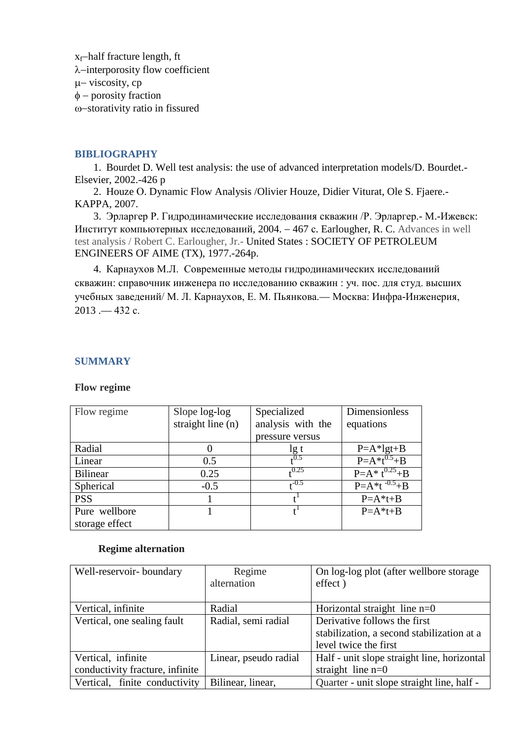x<sub>f</sub>−half fracture length, ft λ−interporosity flow coefficient µ− viscosity, cp φ − porosity fraction ω−storativity ratio in fissured

#### <span id="page-29-0"></span>**BIBLIOGRAPHY**

1. Bourdet D. Well test analysis: the use of advanced interpretation models/D. Bourdet.- Elsevier, 2002.-426 p

2. Houze О. Dynamic Flow Analysis /Olivier Houze, Didier Viturat, Ole S. Fjaere.- KAPPA, 2007.

3. Эрларгер Р. Гидродинамические исследования скважин /Р. Эрларгер.- М.-Ижевск: Институт компьютерных исследований, 2004.  $-467$  c. Earlougher, R. C. Advances in well test analysis / Robert C. Earlougher, Jr.- United States : SOCIETY OF PETROLEUM ENGINEERS OF AIME (TX), 1977.-264p.

4. [Карнаухов М.Л.](http://old.kpfu.ru/zgate/cgi/zgate?ACTION=follow&SESSION_ID=28088&TERM=%D0%9A%D0%B0%D1%80%D0%BD%D0%B0%D1%83%D1%85%D0%BE%D0%B2,%20%D0%9C%D0%B8%D1%85%D0%B0%D0%B8%D0%BB%20%D0%9B%D1%8C%D0%B2%D0%BE%D0%B2%D0%B8%D1%87%5B1,1004,4,101%5D&LANG=rus)Современные методы гидродинамических исследований скважин: справочник инженера по исследованию скважин : уч. пос. для студ. высших учебных заведений/ М. Л. Карнаухов, Е. М. Пьянкова.— Москва: Инфра-Инженерия, 2013 .— 432 с.

## <span id="page-29-1"></span>**SUMMARY**

**Flow regime**

| Flow regime     | Slope log-log     | Specialized       | Dimensionless          |
|-----------------|-------------------|-------------------|------------------------|
|                 | straight line (n) | analysis with the | equations              |
|                 |                   | pressure versus   |                        |
| Radial          |                   | lg t              | $P=A*1gt+B$            |
| Linear          | 0.5               | 40.5              | $P = A * t^{0.5} + B$  |
| <b>Bilinear</b> | 0.25              | 0.25              | $P=A^* t^{0.25} + B$   |
| Spherical       | $-0.5$            | $_{\rm c}$ -0.5   | $P = A * t^{-0.5} + B$ |
| <b>PSS</b>      |                   |                   | $P=A*t+B$              |
| Pure wellbore   |                   |                   | $P=A*t+B$              |
| storage effect  |                   |                   |                        |

#### **Regime alternation**

| Well-reservoir-boundary         | Regime                | On log-log plot (after wellbore storage)    |
|---------------------------------|-----------------------|---------------------------------------------|
|                                 | alternation           | effect)                                     |
|                                 |                       |                                             |
| Vertical, infinite              | Radial                | Horizontal straight line $n=0$              |
| Vertical, one sealing fault     | Radial, semi radial   | Derivative follows the first                |
|                                 |                       | stabilization, a second stabilization at a  |
|                                 |                       | level twice the first                       |
| Vertical, infinite              | Linear, pseudo radial | Half - unit slope straight line, horizontal |
| conductivity fracture, infinite |                       | straight line $n=0$                         |
| Vertical, finite conductivity   | Bilinear, linear,     | Quarter - unit slope straight line, half -  |